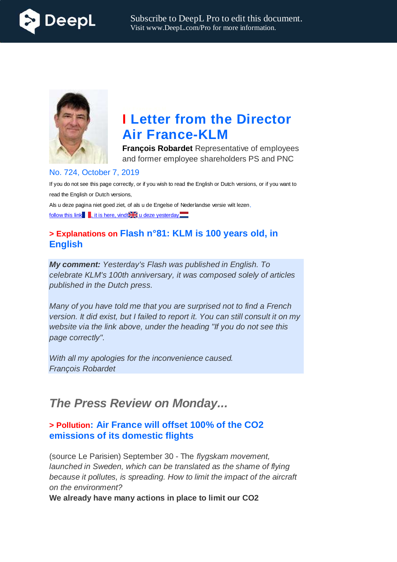



# **I Letter from the Director Air France-KLM**

**François Robardet** Representative of employees and former employee shareholders PS and PNC

#### No. 724, October 7, 2019

If you do not see this page correctly, or if you wish to read the English or Dutch versions, or if you want to read the English or Dutch versions,

Als u deze pagina niet goed ziet, of als u de Engelse of Nederlandse versie wilt lezen, follow this link , it is here, vindt  $\frac{1}{2}$  u deze yesterday

## **> Explanations on Flash n°81: KLM is 100 years old, in English**

*My comment: Yesterday's Flash was published in English. To celebrate KLM's 100th anniversary, it was composed solely of articles published in the Dutch press.*

*Many of you have told me that you are surprised not to find a French version. It did exist, but I failed to report it. You can still consult it on my website via the link above, under the heading "If you do not see this page correctly".*

*With all my apologies for the inconvenience caused. François Robardet*

## *The Press Review on Monday...*

## **> Pollution: Air France will offset 100% of the CO2 emissions of its domestic flights**

(source Le Parisien) September 30 - The *flygskam movement, launched in Sweden, which can be translated as the shame of flying because it pollutes, is spreading. How to limit the impact of the aircraft on the environment?*

**We already have many actions in place to limit our CO2**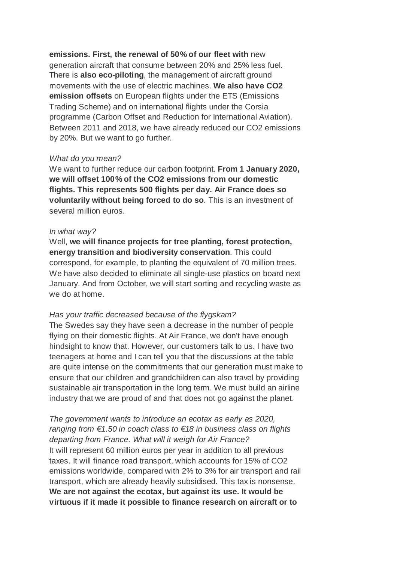**emissions. First, the renewal of 50% of our fleet with** new generation aircraft that consume between 20% and 25% less fuel. There is **also eco-piloting**, the management of aircraft ground movements with the use of electric machines. **We also have CO2 emission offsets** on European flights under the ETS (Emissions Trading Scheme) and on international flights under the Corsia programme (Carbon Offset and Reduction for International Aviation). Between 2011 and 2018, we have already reduced our CO2 emissions by 20%. But we want to go further.

#### *What do you mean?*

We want to further reduce our carbon footprint. **From 1 January 2020, we will offset 100% of the CO2 emissions from our domestic flights. This represents 500 flights per day. Air France does so voluntarily without being forced to do so**. This is an investment of several million euros.

#### *In what way?*

Well, **we will finance projects for tree planting, forest protection, energy transition and biodiversity conservation**. This could correspond, for example, to planting the equivalent of 70 million trees. We have also decided to eliminate all single-use plastics on board next January. And from October, we will start sorting and recycling waste as we do at home.

#### *Has your traffic decreased because of the flygskam?*

The Swedes say they have seen a decrease in the number of people flying on their domestic flights. At Air France, we don't have enough hindsight to know that. However, our customers talk to us. I have two teenagers at home and I can tell you that the discussions at the table are quite intense on the commitments that our generation must make to ensure that our children and grandchildren can also travel by providing sustainable air transportation in the long term. We must build an airline industry that we are proud of and that does not go against the planet.

*The government wants to introduce an ecotax as early as 2020, ranging from €1.50 in coach class to €18 in business class on flights departing from France. What will it weigh for Air France?* It will represent 60 million euros per year in addition to all previous taxes. It will finance road transport, which accounts for 15% of CO2 emissions worldwide, compared with 2% to 3% for air transport and rail transport, which are already heavily subsidised. This tax is nonsense. **We are not against the ecotax, but against its use. It would be virtuous if it made it possible to finance research on aircraft or to**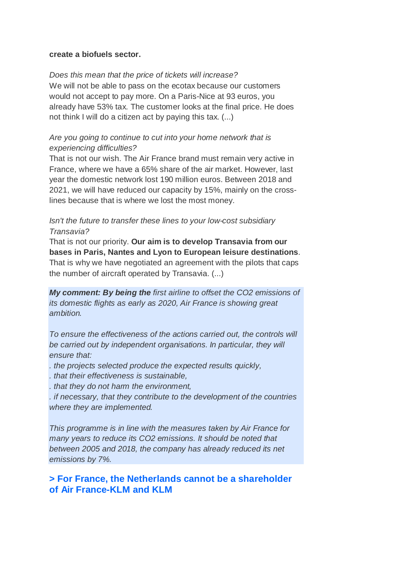#### **create a biofuels sector.**

#### *Does this mean that the price of tickets will increase?*

We will not be able to pass on the ecotax because our customers would not accept to pay more. On a Paris-Nice at 93 euros, you already have 53% tax. The customer looks at the final price. He does not think I will do a citizen act by paying this tax. (...)

#### *Are you going to continue to cut into your home network that is experiencing difficulties?*

That is not our wish. The Air France brand must remain very active in France, where we have a 65% share of the air market. However, last year the domestic network lost 190 million euros. Between 2018 and 2021, we will have reduced our capacity by 15%, mainly on the crosslines because that is where we lost the most money.

#### *Isn't the future to transfer these lines to your low-cost subsidiary Transavia?*

That is not our priority. **Our aim is to develop Transavia from our bases in Paris, Nantes and Lyon to European leisure destinations**. That is why we have negotiated an agreement with the pilots that caps the number of aircraft operated by Transavia. (...)

*My comment: By being the first airline to offset the CO2 emissions of its domestic flights as early as 2020, Air France is showing great ambition.*

*To ensure the effectiveness of the actions carried out, the controls will be carried out by independent organisations. In particular, they will ensure that:*

*. the projects selected produce the expected results quickly,*

*. that their effectiveness is sustainable,*

*. that they do not harm the environment,*

*. if necessary, that they contribute to the development of the countries where they are implemented.*

*This programme is in line with the measures taken by Air France for many years to reduce its CO2 emissions. It should be noted that between 2005 and 2018, the company has already reduced its net emissions by 7%.*

**> For France, the Netherlands cannot be a shareholder of Air France-KLM and KLM**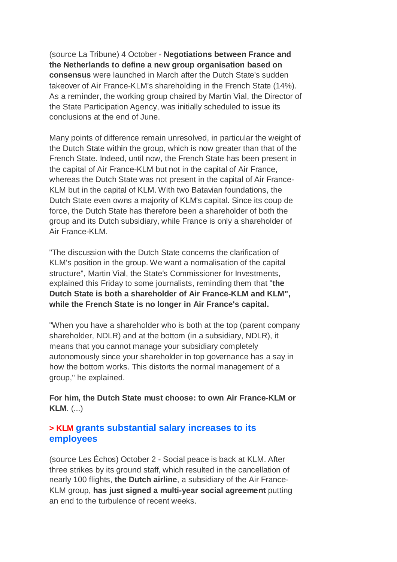(source La Tribune) 4 October - **Negotiations between France and the Netherlands to define a new group organisation based on consensus** were launched in March after the Dutch State's sudden takeover of Air France-KLM's shareholding in the French State (14%). As a reminder, the working group chaired by Martin Vial, the Director of the State Participation Agency, was initially scheduled to issue its conclusions at the end of June.

Many points of difference remain unresolved, in particular the weight of the Dutch State within the group, which is now greater than that of the French State. Indeed, until now, the French State has been present in the capital of Air France-KLM but not in the capital of Air France, whereas the Dutch State was not present in the capital of Air France-KLM but in the capital of KLM. With two Batavian foundations, the Dutch State even owns a majority of KLM's capital. Since its coup de force, the Dutch State has therefore been a shareholder of both the group and its Dutch subsidiary, while France is only a shareholder of Air France-KLM.

"The discussion with the Dutch State concerns the clarification of KLM's position in the group. We want a normalisation of the capital structure", Martin Vial, the State's Commissioner for Investments, explained this Friday to some journalists, reminding them that "**the Dutch State is both a shareholder of Air France-KLM and KLM", while the French State is no longer in Air France's capital.**

"When you have a shareholder who is both at the top (parent company shareholder, NDLR) and at the bottom (in a subsidiary, NDLR), it means that you cannot manage your subsidiary completely autonomously since your shareholder in top governance has a say in how the bottom works. This distorts the normal management of a group," he explained.

**For him, the Dutch State must choose: to own Air France-KLM or KLM**. (...)

### **> KLM grants substantial salary increases to its employees**

(source Les Échos) October 2 - Social peace is back at KLM. After three strikes by its ground staff, which resulted in the cancellation of nearly 100 flights, **the Dutch airline**, a subsidiary of the Air France-KLM group, **has just signed a multi-year social agreement** putting an end to the turbulence of recent weeks.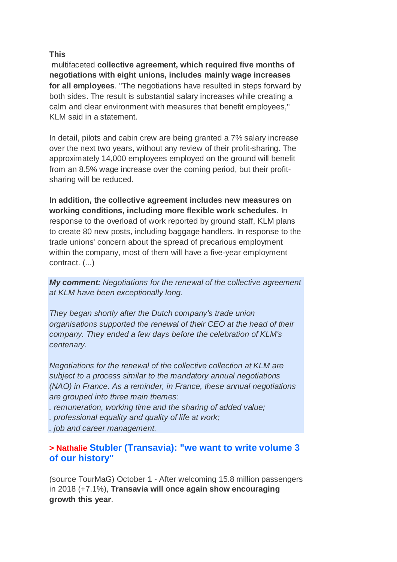#### **This**

multifaceted **collective agreement, which required five months of negotiations with eight unions, includes mainly wage increases for all employees**. "The negotiations have resulted in steps forward by both sides. The result is substantial salary increases while creating a calm and clear environment with measures that benefit employees," KLM said in a statement.

In detail, pilots and cabin crew are being granted a 7% salary increase over the next two years, without any review of their profit-sharing. The approximately 14,000 employees employed on the ground will benefit from an 8.5% wage increase over the coming period, but their profitsharing will be reduced.

**In addition, the collective agreement includes new measures on working conditions, including more flexible work schedules**. In response to the overload of work reported by ground staff, KLM plans to create 80 new posts, including baggage handlers. In response to the trade unions' concern about the spread of precarious employment within the company, most of them will have a five-year employment contract. (...)

*My comment: Negotiations for the renewal of the collective agreement at KLM have been exceptionally long.*

*They began shortly after the Dutch company's trade union organisations supported the renewal of their CEO at the head of their company. They ended a few days before the celebration of KLM's centenary.*

*Negotiations for the renewal of the collective collection at KLM are subject to a process similar to the mandatory annual negotiations (NAO) in France. As a reminder, in France, these annual negotiations are grouped into three main themes:*

*. remuneration, working time and the sharing of added value;*

*. professional equality and quality of life at work;*

*. job and career management.*

#### **> Nathalie Stubler (Transavia): "we want to write volume 3 of our history"**

(source TourMaG) October 1 - After welcoming 15.8 million passengers in 2018 (+7.1%), **Transavia will once again show encouraging growth this year**.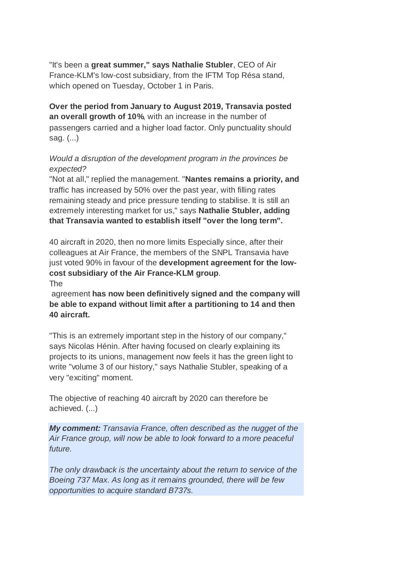"It's been a **great summer," says Nathalie Stubler**, CEO of Air France-KLM's low-cost subsidiary, from the IFTM Top Résa stand, which opened on Tuesday, October 1 in Paris.

**Over the period from January to August 2019, Transavia posted an overall growth of 10%**, with an increase in the number of passengers carried and a higher load factor. Only punctuality should sag. (...)

#### *Would a disruption of the development program in the provinces be expected?*

"Not at all," replied the management. "**Nantes remains a priority, and** traffic has increased by 50% over the past year, with filling rates remaining steady and price pressure tending to stabilise. It is still an extremely interesting market for us," says **Nathalie Stubler, adding that Transavia wanted to establish itself "over the long term".**

40 aircraft in 2020, then no more limits Especially since, after their colleagues at Air France, the members of the SNPL Transavia have just voted 90% in favour of the **development agreement for the lowcost subsidiary of the Air France-KLM group**. The

agreement **has now been definitively signed and the company will be able to expand without limit after a partitioning to 14 and then 40 aircraft.**

"This is an extremely important step in the history of our company," says Nicolas Hénin. After having focused on clearly explaining its projects to its unions, management now feels it has the green light to write "volume 3 of our history," says Nathalie Stubler, speaking of a very "exciting" moment.

The objective of reaching 40 aircraft by 2020 can therefore be achieved. (...)

*My comment: Transavia France, often described as the nugget of the Air France group, will now be able to look forward to a more peaceful future.*

*The only drawback is the uncertainty about the return to service of the Boeing 737 Max. As long as it remains grounded, there will be few opportunities to acquire standard B737s.*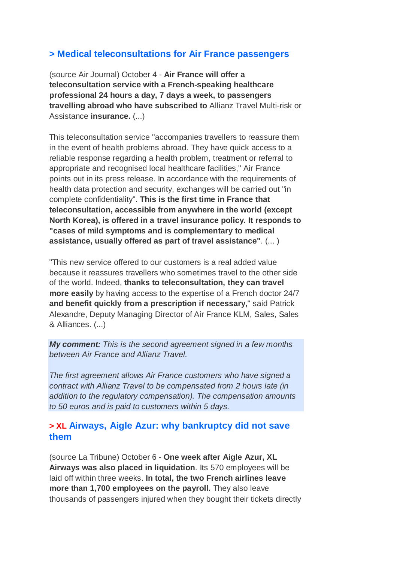## **> Medical teleconsultations for Air France passengers**

(source Air Journal) October 4 - **Air France will offer a teleconsultation service with a French-speaking healthcare professional 24 hours a day, 7 days a week, to passengers travelling abroad who have subscribed to** Allianz Travel Multi-risk or Assistance **insurance.** (...)

This teleconsultation service "accompanies travellers to reassure them in the event of health problems abroad. They have quick access to a reliable response regarding a health problem, treatment or referral to appropriate and recognised local healthcare facilities," Air France points out in its press release. In accordance with the requirements of health data protection and security, exchanges will be carried out "in complete confidentiality". **This is the first time in France that teleconsultation, accessible from anywhere in the world (except North Korea), is offered in a travel insurance policy. It responds to "cases of mild symptoms and is complementary to medical assistance, usually offered as part of travel assistance"**. (... )

"This new service offered to our customers is a real added value because it reassures travellers who sometimes travel to the other side of the world. Indeed, **thanks to teleconsultation, they can travel more easily** by having access to the expertise of a French doctor 24/7 **and benefit quickly from a prescription if necessary,**" said Patrick Alexandre, Deputy Managing Director of Air France KLM, Sales, Sales & Alliances. (...)

*My comment: This is the second agreement signed in a few months between Air France and Allianz Travel.*

*The first agreement allows Air France customers who have signed a contract with Allianz Travel to be compensated from 2 hours late (in addition to the regulatory compensation). The compensation amounts to 50 euros and is paid to customers within 5 days.*

### **> XL Airways, Aigle Azur: why bankruptcy did not save them**

(source La Tribune) October 6 - **One week after Aigle Azur, XL Airways was also placed in liquidation**. Its 570 employees will be laid off within three weeks. **In total, the two French airlines leave more than 1,700 employees on the payroll.** They also leave thousands of passengers injured when they bought their tickets directly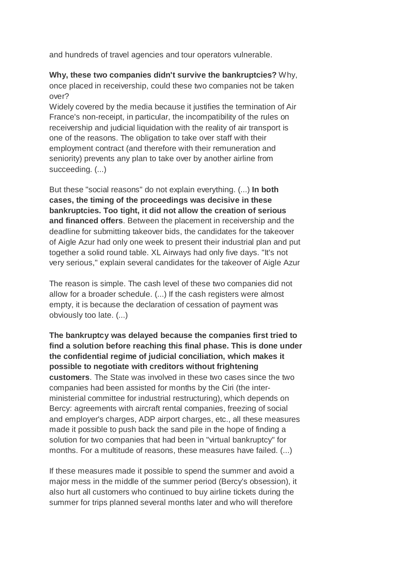and hundreds of travel agencies and tour operators vulnerable.

**Why, these two companies didn't survive the bankruptcies?** Why, once placed in receivership, could these two companies not be taken over?

Widely covered by the media because it justifies the termination of Air France's non-receipt, in particular, the incompatibility of the rules on receivership and judicial liquidation with the reality of air transport is one of the reasons. The obligation to take over staff with their employment contract (and therefore with their remuneration and seniority) prevents any plan to take over by another airline from succeeding. (...)

But these "social reasons" do not explain everything. (...) **In both cases, the timing of the proceedings was decisive in these bankruptcies. Too tight, it did not allow the creation of serious and financed offers**. Between the placement in receivership and the deadline for submitting takeover bids, the candidates for the takeover of Aigle Azur had only one week to present their industrial plan and put together a solid round table. XL Airways had only five days. "It's not very serious," explain several candidates for the takeover of Aigle Azur

The reason is simple. The cash level of these two companies did not allow for a broader schedule. (...) If the cash registers were almost empty, it is because the declaration of cessation of payment was obviously too late. (...)

**The bankruptcy was delayed because the companies first tried to find a solution before reaching this final phase. This is done under the confidential regime of judicial conciliation, which makes it possible to negotiate with creditors without frightening customers**. The State was involved in these two cases since the two companies had been assisted for months by the Ciri (the interministerial committee for industrial restructuring), which depends on Bercy: agreements with aircraft rental companies, freezing of social and employer's charges, ADP airport charges, etc., all these measures made it possible to push back the sand pile in the hope of finding a solution for two companies that had been in "virtual bankruptcy" for months. For a multitude of reasons, these measures have failed. (...)

If these measures made it possible to spend the summer and avoid a major mess in the middle of the summer period (Bercy's obsession), it also hurt all customers who continued to buy airline tickets during the summer for trips planned several months later and who will therefore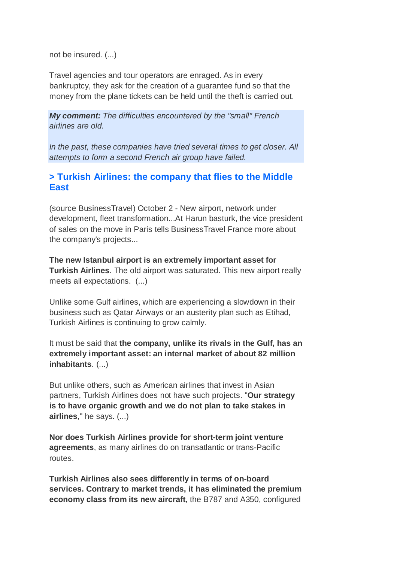not be insured. (...)

Travel agencies and tour operators are enraged. As in every bankruptcy, they ask for the creation of a guarantee fund so that the money from the plane tickets can be held until the theft is carried out.

*My comment: The difficulties encountered by the "small" French airlines are old.*

*In the past, these companies have tried several times to get closer. All attempts to form a second French air group have failed.*

## **> Turkish Airlines: the company that flies to the Middle East**

(source BusinessTravel) October 2 - New airport, network under development, fleet transformation...At Harun basturk, the vice president of sales on the move in Paris tells BusinessTravel France more about the company's projects...

**The new Istanbul airport is an extremely important asset for Turkish Airlines**. The old airport was saturated. This new airport really meets all expectations. (...)

Unlike some Gulf airlines, which are experiencing a slowdown in their business such as Qatar Airways or an austerity plan such as Etihad, Turkish Airlines is continuing to grow calmly.

It must be said that **the company, unlike its rivals in the Gulf, has an extremely important asset: an internal market of about 82 million inhabitants**. (...)

But unlike others, such as American airlines that invest in Asian partners, Turkish Airlines does not have such projects. "**Our strategy is to have organic growth and we do not plan to take stakes in airlines**," he says. (...)

**Nor does Turkish Airlines provide for short-term joint venture agreements**, as many airlines do on transatlantic or trans-Pacific routes.

**Turkish Airlines also sees differently in terms of on-board services. Contrary to market trends, it has eliminated the premium economy class from its new aircraft**, the B787 and A350, configured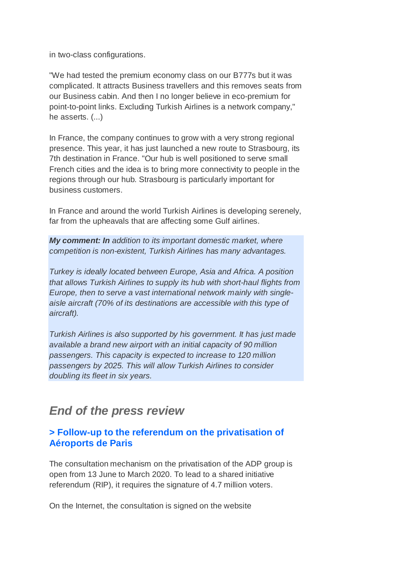in two-class configurations.

"We had tested the premium economy class on our B777s but it was complicated. It attracts Business travellers and this removes seats from our Business cabin. And then I no longer believe in eco-premium for point-to-point links. Excluding Turkish Airlines is a network company," he asserts. (...)

In France, the company continues to grow with a very strong regional presence. This year, it has just launched a new route to Strasbourg, its 7th destination in France. "Our hub is well positioned to serve small French cities and the idea is to bring more connectivity to people in the regions through our hub. Strasbourg is particularly important for business customers.

In France and around the world Turkish Airlines is developing serenely, far from the upheavals that are affecting some Gulf airlines.

*My comment: In addition to its important domestic market, where competition is non-existent, Turkish Airlines has many advantages.*

*Turkey is ideally located between Europe, Asia and Africa. A position that allows Turkish Airlines to supply its hub with short-haul flights from Europe, then to serve a vast international network mainly with singleaisle aircraft (70% of its destinations are accessible with this type of aircraft).*

*Turkish Airlines is also supported by his government. It has just made available a brand new airport with an initial capacity of 90 million passengers. This capacity is expected to increase to 120 million passengers by 2025. This will allow Turkish Airlines to consider doubling its fleet in six years.*

## *End of the press review*

## **> Follow-up to the referendum on the privatisation of Aéroports de Paris**

The consultation mechanism on the privatisation of the ADP group is open from 13 June to March 2020. To lead to a shared initiative referendum (RIP), it requires the signature of 4.7 million voters.

On the Internet, the consultation is signed on the website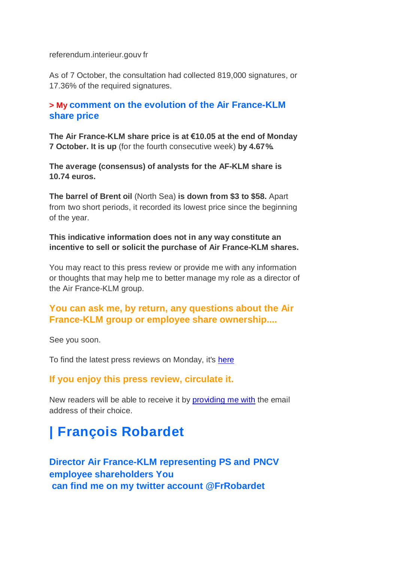referendum.interieur.gouv fr

As of 7 October, the consultation had collected 819,000 signatures, or 17.36% of the required signatures.

## **> My comment on the evolution of the Air France-KLM share price**

**The Air France-KLM share price is at €10.05 at the end of Monday 7 October. It is up** (for the fourth consecutive week) **by 4.67%.**

**The average (consensus) of analysts for the AF-KLM share is 10.74 euros.**

**The barrel of Brent oil** (North Sea) **is down from \$3 to \$58.** Apart from two short periods, it recorded its lowest price since the beginning of the year.

#### **This indicative information does not in any way constitute an incentive to sell or solicit the purchase of Air France-KLM shares.**

You may react to this press review or provide me with any information or thoughts that may help me to better manage my role as a director of the Air France-KLM group.

## **You can ask me, by return, any questions about the Air France-KLM group or employee share ownership....**

See you soon.

To find the latest press reviews on Monday, it's here

### **If you enjoy this press review, circulate it.**

New readers will be able to receive it by providing me with the email address of their choice.

# **| François Robardet**

**Director Air France-KLM representing PS and PNCV employee shareholders You can find me on my twitter account @FrRobardet**